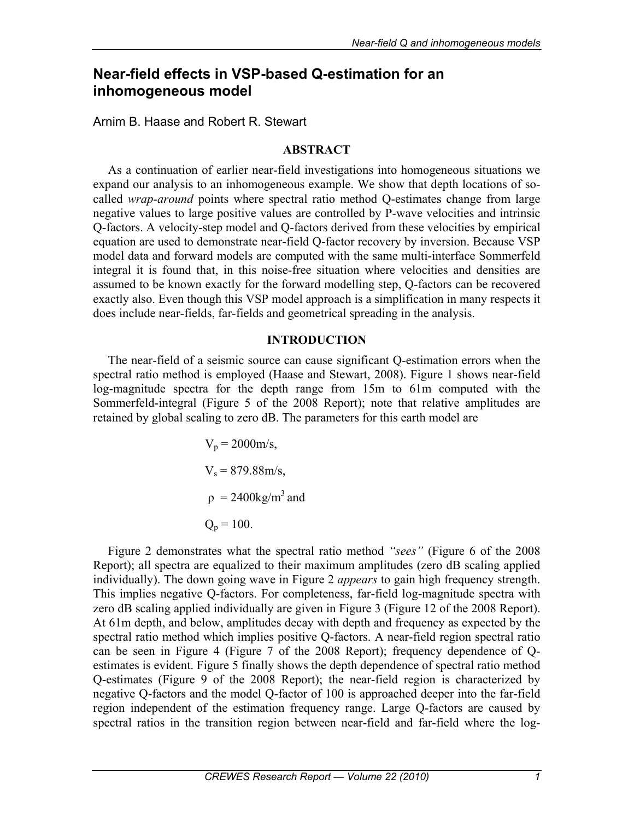# **Near-field effects in VSP-based Q-estimation for an inhomogeneous model**

Arnim B. Haase and Robert R. Stewart

## **ABSTRACT**

As a continuation of earlier near-field investigations into homogeneous situations we expand our analysis to an inhomogeneous example. We show that depth locations of socalled *wrap-around* points where spectral ratio method Q-estimates change from large negative values to large positive values are controlled by P-wave velocities and intrinsic Q-factors. A velocity-step model and Q-factors derived from these velocities by empirical equation are used to demonstrate near-field Q-factor recovery by inversion. Because VSP model data and forward models are computed with the same multi-interface Sommerfeld integral it is found that, in this noise-free situation where velocities and densities are assumed to be known exactly for the forward modelling step, Q-factors can be recovered exactly also. Even though this VSP model approach is a simplification in many respects it does include near-fields, far-fields and geometrical spreading in the analysis.

# **INTRODUCTION**

The near-field of a seismic source can cause significant Q-estimation errors when the spectral ratio method is employed (Haase and Stewart, 2008). Figure 1 shows near-field log-magnitude spectra for the depth range from 15m to 61m computed with the Sommerfeld-integral (Figure 5 of the 2008 Report); note that relative amplitudes are retained by global scaling to zero dB. The parameters for this earth model are

$$
V_p = 2000 \text{m/s},
$$
  
\n
$$
V_s = 879.88 \text{m/s},
$$
  
\n
$$
\rho = 2400 \text{kg/m}^3 \text{ and}
$$
  
\n
$$
Q_p = 100.
$$

Figure 2 demonstrates what the spectral ratio method *"sees"* (Figure 6 of the 2008 Report); all spectra are equalized to their maximum amplitudes (zero dB scaling applied individually). The down going wave in Figure 2 *appears* to gain high frequency strength. This implies negative Q-factors. For completeness, far-field log-magnitude spectra with zero dB scaling applied individually are given in Figure 3 (Figure 12 of the 2008 Report). At 61m depth, and below, amplitudes decay with depth and frequency as expected by the spectral ratio method which implies positive Q-factors. A near-field region spectral ratio can be seen in Figure 4 (Figure 7 of the 2008 Report); frequency dependence of Qestimates is evident. Figure 5 finally shows the depth dependence of spectral ratio method Q-estimates (Figure 9 of the 2008 Report); the near-field region is characterized by negative Q-factors and the model Q-factor of 100 is approached deeper into the far-field region independent of the estimation frequency range. Large Q-factors are caused by spectral ratios in the transition region between near-field and far-field where the log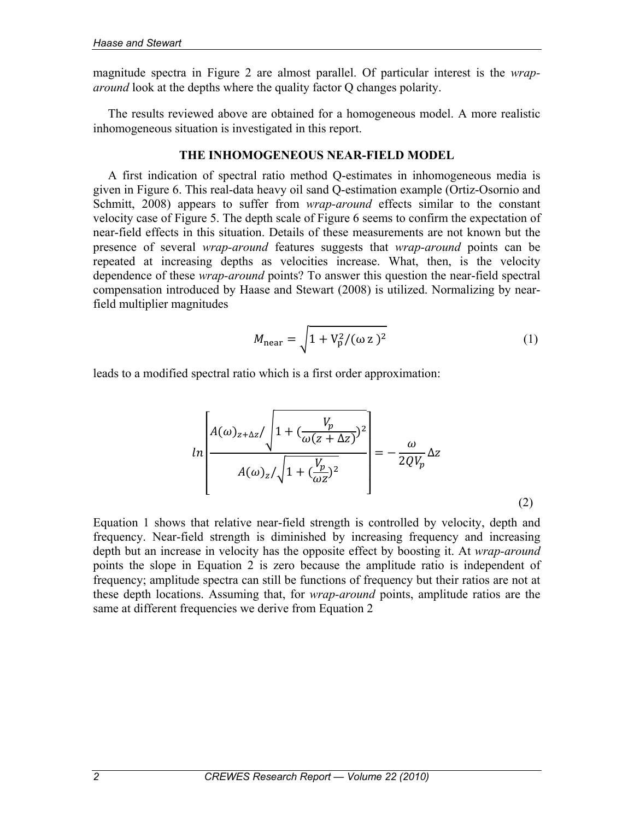magnitude spectra in Figure 2 are almost parallel. Of particular interest is the *wraparound* look at the depths where the quality factor Q changes polarity.

The results reviewed above are obtained for a homogeneous model. A more realistic inhomogeneous situation is investigated in this report.

## **THE INHOMOGENEOUS NEAR-FIELD MODEL**

A first indication of spectral ratio method Q-estimates in inhomogeneous media is given in Figure 6. This real-data heavy oil sand Q-estimation example (Ortiz-Osornio and Schmitt, 2008) appears to suffer from *wrap-around* effects similar to the constant velocity case of Figure 5. The depth scale of Figure 6 seems to confirm the expectation of near-field effects in this situation. Details of these measurements are not known but the presence of several *wrap-around* features suggests that *wrap-around* points can be repeated at increasing depths as velocities increase. What, then, is the velocity dependence of these *wrap-around* points? To answer this question the near-field spectral compensation introduced by Haase and Stewart (2008) is utilized. Normalizing by nearfield multiplier magnitudes

$$
M_{\text{near}} = \sqrt{1 + V_{\text{p}}^2 / (\omega z)^2}
$$
 (1)

leads to a modified spectral ratio which is a first order approximation:

$$
ln\left[\frac{A(\omega)_{z+\Delta z}}{A(\omega)_{z}/\sqrt{1+(\frac{V_p}{\omega z})^2}}\right] = -\frac{\omega}{2QV_p}\Delta z
$$
\n(2)

Equation 1 shows that relative near-field strength is controlled by velocity, depth and frequency. Near-field strength is diminished by increasing frequency and increasing depth but an increase in velocity has the opposite effect by boosting it. At *wrap-around* points the slope in Equation 2 is zero because the amplitude ratio is independent of frequency; amplitude spectra can still be functions of frequency but their ratios are not at these depth locations. Assuming that, for *wrap-around* points, amplitude ratios are the same at different frequencies we derive from Equation 2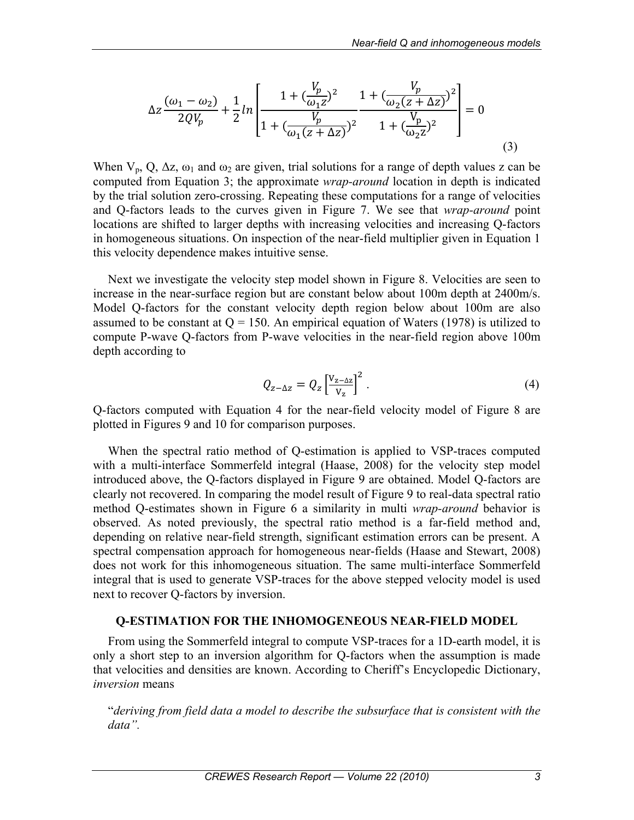$$
\Delta z \frac{(\omega_1 - \omega_2)}{2QV_p} + \frac{1}{2}ln \left[ \frac{1 + (\frac{V_p}{\omega_1 z})^2}{1 + (\frac{V_p}{\omega_1 (z + \Delta z)})^2} \frac{1 + (\frac{V_p}{\omega_2 (z + \Delta z)})^2}{1 + (\frac{V_p}{\omega_2 z})^2} \right] = 0
$$
\n(3)

When  $V_p$ , Q,  $\Delta z$ ,  $\omega_1$  and  $\omega_2$  are given, trial solutions for a range of depth values z can be computed from Equation 3; the approximate *wrap-around* location in depth is indicated by the trial solution zero-crossing. Repeating these computations for a range of velocities and Q-factors leads to the curves given in Figure 7. We see that *wrap-around* point locations are shifted to larger depths with increasing velocities and increasing Q-factors in homogeneous situations. On inspection of the near-field multiplier given in Equation 1 this velocity dependence makes intuitive sense.

Next we investigate the velocity step model shown in Figure 8. Velocities are seen to increase in the near-surface region but are constant below about 100m depth at 2400m/s. Model Q-factors for the constant velocity depth region below about 100m are also assumed to be constant at  $Q = 150$ . An empirical equation of Waters (1978) is utilized to compute P-wave Q-factors from P-wave velocities in the near-field region above 100m depth according to

$$
Q_{z-\Delta z} = Q_z \left[ \frac{V_{z-\Delta z}}{V_z} \right]^2.
$$
 (4)

Q-factors computed with Equation 4 for the near-field velocity model of Figure 8 are plotted in Figures 9 and 10 for comparison purposes.

When the spectral ratio method of Q-estimation is applied to VSP-traces computed with a multi-interface Sommerfeld integral (Haase, 2008) for the velocity step model introduced above, the Q-factors displayed in Figure 9 are obtained. Model Q-factors are clearly not recovered. In comparing the model result of Figure 9 to real-data spectral ratio method Q-estimates shown in Figure 6 a similarity in multi *wrap-around* behavior is observed. As noted previously, the spectral ratio method is a far-field method and, depending on relative near-field strength, significant estimation errors can be present. A spectral compensation approach for homogeneous near-fields (Haase and Stewart, 2008) does not work for this inhomogeneous situation. The same multi-interface Sommerfeld integral that is used to generate VSP-traces for the above stepped velocity model is used next to recover Q-factors by inversion.

#### **Q-ESTIMATION FOR THE INHOMOGENEOUS NEAR-FIELD MODEL**

From using the Sommerfeld integral to compute VSP-traces for a 1D-earth model, it is only a short step to an inversion algorithm for Q-factors when the assumption is made that velocities and densities are known. According to Cheriff's Encyclopedic Dictionary, *inversion* means

"*deriving from field data a model to describe the subsurface that is consistent with the data".*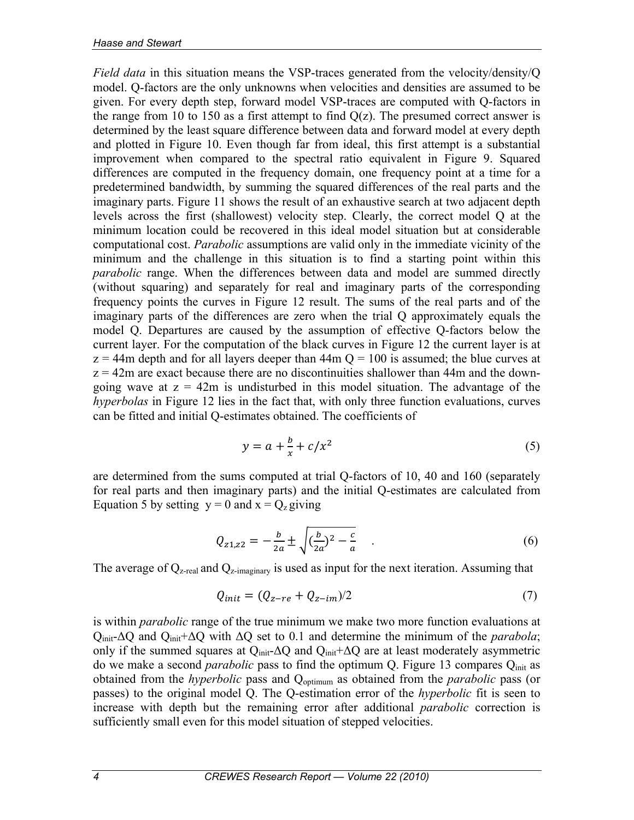*Field data* in this situation means the VSP-traces generated from the velocity/density/Q model. Q-factors are the only unknowns when velocities and densities are assumed to be given. For every depth step, forward model VSP-traces are computed with Q-factors in the range from 10 to 150 as a first attempt to find  $Q(z)$ . The presumed correct answer is determined by the least square difference between data and forward model at every depth and plotted in Figure 10. Even though far from ideal, this first attempt is a substantial improvement when compared to the spectral ratio equivalent in Figure 9. Squared differences are computed in the frequency domain, one frequency point at a time for a predetermined bandwidth, by summing the squared differences of the real parts and the imaginary parts. Figure 11 shows the result of an exhaustive search at two adjacent depth levels across the first (shallowest) velocity step. Clearly, the correct model Q at the minimum location could be recovered in this ideal model situation but at considerable computational cost. *Parabolic* assumptions are valid only in the immediate vicinity of the minimum and the challenge in this situation is to find a starting point within this *parabolic* range. When the differences between data and model are summed directly (without squaring) and separately for real and imaginary parts of the corresponding frequency points the curves in Figure 12 result. The sums of the real parts and of the imaginary parts of the differences are zero when the trial Q approximately equals the model Q. Departures are caused by the assumption of effective Q-factors below the current layer. For the computation of the black curves in Figure 12 the current layer is at  $z = 44$ m depth and for all layers deeper than  $44$ m  $Q = 100$  is assumed; the blue curves at  $z = 42$ m are exact because there are no discontinuities shallower than 44m and the downgoing wave at  $z = 42m$  is undisturbed in this model situation. The advantage of the *hyperbolas* in Figure 12 lies in the fact that, with only three function evaluations, curves can be fitted and initial Q-estimates obtained. The coefficients of

$$
y = a + \frac{b}{x} + c/x^2 \tag{5}
$$

are determined from the sums computed at trial Q-factors of 10, 40 and 160 (separately for real parts and then imaginary parts) and the initial Q-estimates are calculated from Equation 5 by setting  $y = 0$  and  $x = Q_z$  giving

$$
Q_{z1,z2} = -\frac{b}{2a} \pm \sqrt{(\frac{b}{2a})^2 - \frac{c}{a}} \tag{6}
$$

The average of  $Q_{z\text{-real}}$  and  $Q_{z\text{-imaginary}}$  is used as input for the next iteration. Assuming that

$$
Q_{init} = (Q_{z-re} + Q_{z-im})/2
$$
\n
$$
(7)
$$

is within *parabolic* range of the true minimum we make two more function evaluations at Qinit-ΔQ and Qinit+ΔQ with ΔQ set to 0.1 and determine the minimum of the *parabola*; only if the summed squares at  $Q_{init}$ - $\Delta Q$  and  $Q_{init}$ + $\Delta Q$  are at least moderately asymmetric do we make a second *parabolic* pass to find the optimum Q. Figure 13 compares Qinit as obtained from the *hyperbolic* pass and Qoptimum as obtained from the *parabolic* pass (or passes) to the original model Q. The Q-estimation error of the *hyperbolic* fit is seen to increase with depth but the remaining error after additional *parabolic* correction is sufficiently small even for this model situation of stepped velocities.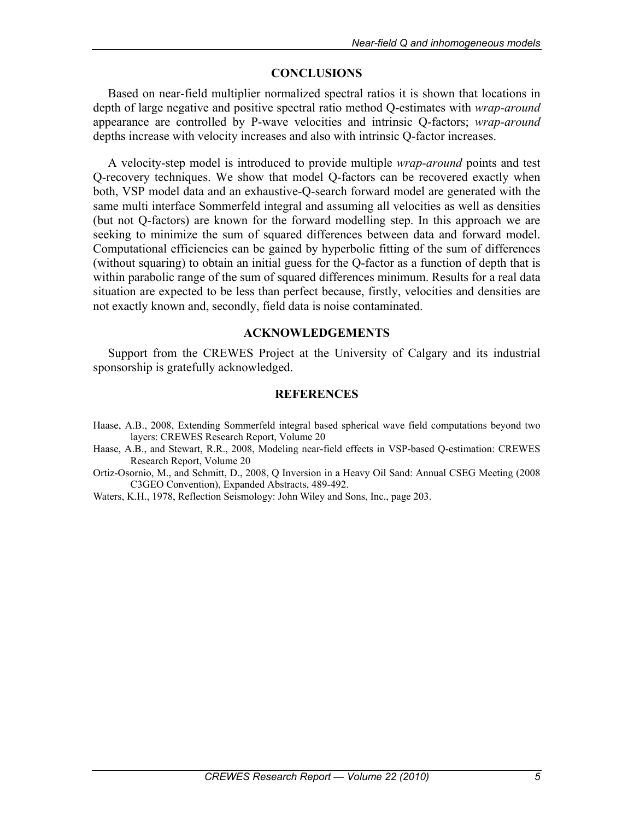# **CONCLUSIONS**

Based on near-field multiplier normalized spectral ratios it is shown that locations in depth of large negative and positive spectral ratio method Q-estimates with *wrap-around* appearance are controlled by P-wave velocities and intrinsic Q-factors; *wrap-around* depths increase with velocity increases and also with intrinsic Q-factor increases.

A velocity-step model is introduced to provide multiple *wrap-around* points and test Q-recovery techniques. We show that model Q-factors can be recovered exactly when both, VSP model data and an exhaustive-Q-search forward model are generated with the same multi interface Sommerfeld integral and assuming all velocities as well as densities (but not Q-factors) are known for the forward modelling step. In this approach we are seeking to minimize the sum of squared differences between data and forward model. Computational efficiencies can be gained by hyperbolic fitting of the sum of differences (without squaring) to obtain an initial guess for the Q-factor as a function of depth that is within parabolic range of the sum of squared differences minimum. Results for a real data situation are expected to be less than perfect because, firstly, velocities and densities are not exactly known and, secondly, field data is noise contaminated.

## **ACKNOWLEDGEMENTS**

Support from the CREWES Project at the University of Calgary and its industrial sponsorship is gratefully acknowledged.

## **REFERENCES**

- Haase, A.B., 2008, Extending Sommerfeld integral based spherical wave field computations beyond two layers: CREWES Research Report, Volume 20
- Haase, A.B., and Stewart, R.R., 2008, Modeling near-field effects in VSP-based Q-estimation: CREWES Research Report, Volume 20
- Ortiz-Osornio, M., and Schmitt, D., 2008, Q Inversion in a Heavy Oil Sand: Annual CSEG Meeting (2008 C3GEO Convention), Expanded Abstracts, 489-492.
- Waters, K.H., 1978, Reflection Seismology: John Wiley and Sons, Inc., page 203.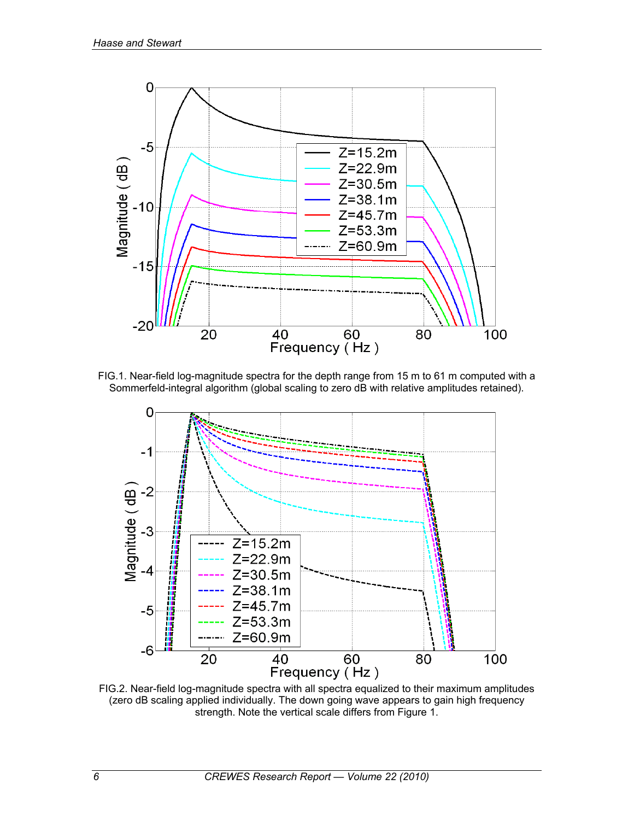

FIG.1. Near-field log-magnitude spectra for the depth range from 15 m to 61 m computed with a Sommerfeld-integral algorithm (global scaling to zero dB with relative amplitudes retained).



FIG.2. Near-field log-magnitude spectra with all spectra equalized to their maximum amplitudes (zero dB scaling applied individually. The down going wave appears to gain high frequency strength. Note the vertical scale differs from Figure 1.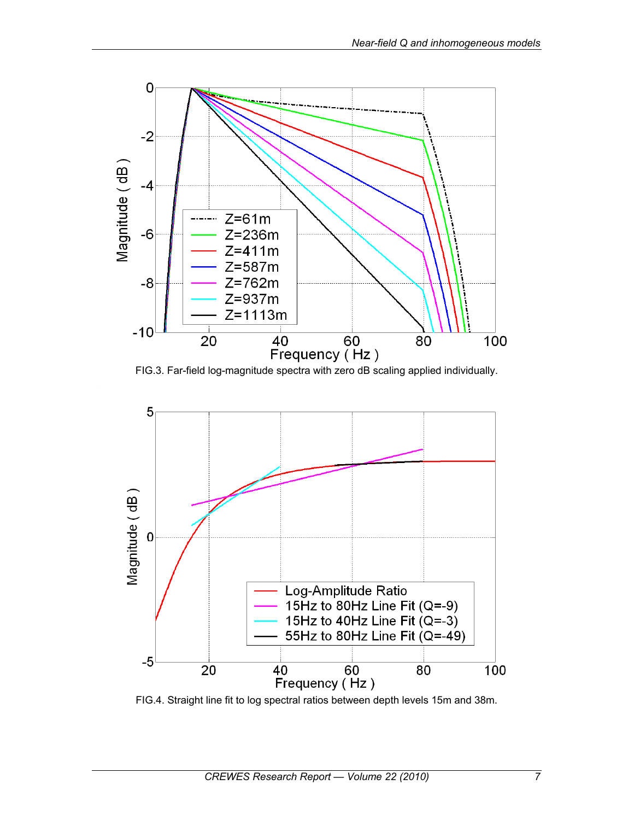

FIG.3. Far-field log-magnitude spectra with zero dB scaling applied individually.



FIG.4. Straight line fit to log spectral ratios between depth levels 15m and 38m.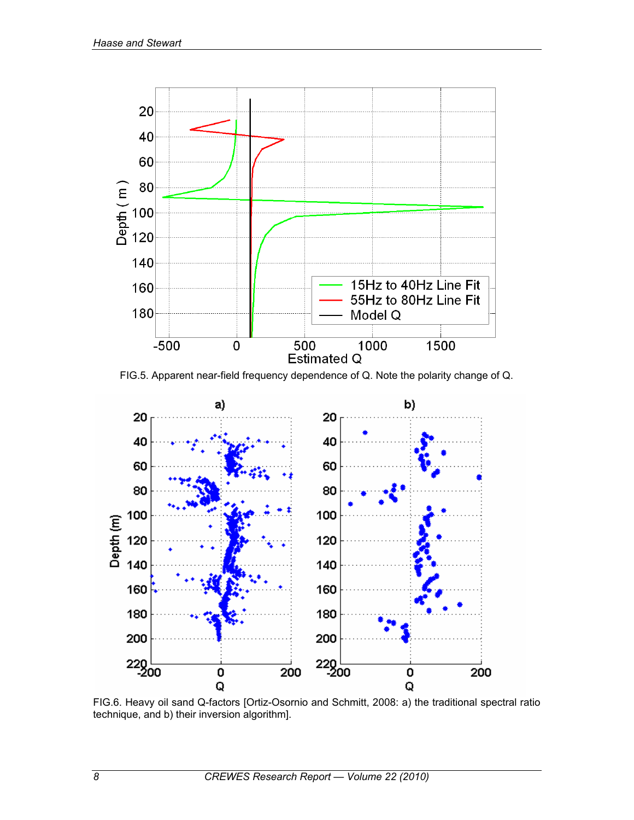

FIG.5. Apparent near-field frequency dependence of Q. Note the polarity change of Q.



FIG.6. Heavy oil sand Q-factors [Ortiz-Osornio and Schmitt, 2008: a) the traditional spectral ratio technique, and b) their inversion algorithm].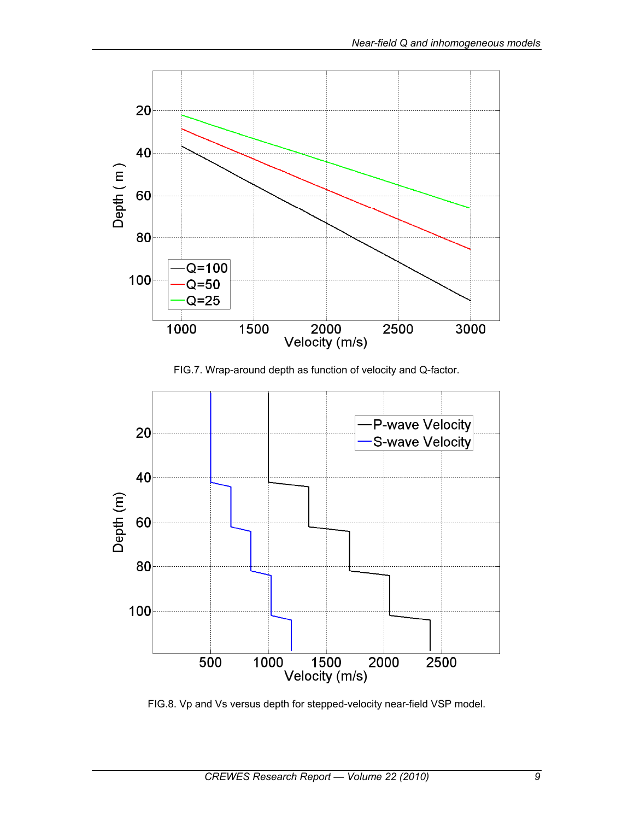

FIG.7. Wrap-around depth as function of velocity and Q-factor.



FIG.8. Vp and Vs versus depth for stepped-velocity near-field VSP model.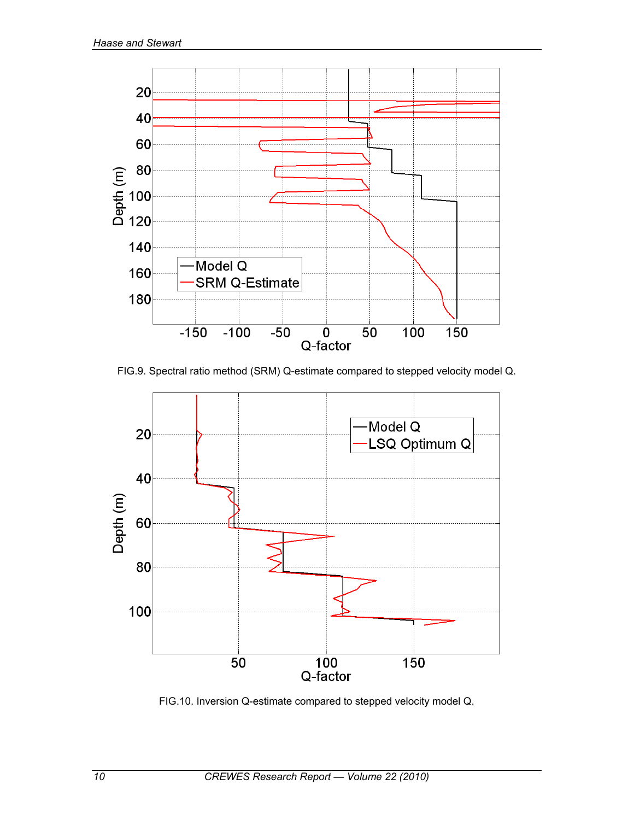

FIG.9. Spectral ratio method (SRM) Q-estimate compared to stepped velocity model Q.



FIG.10. Inversion Q-estimate compared to stepped velocity model Q.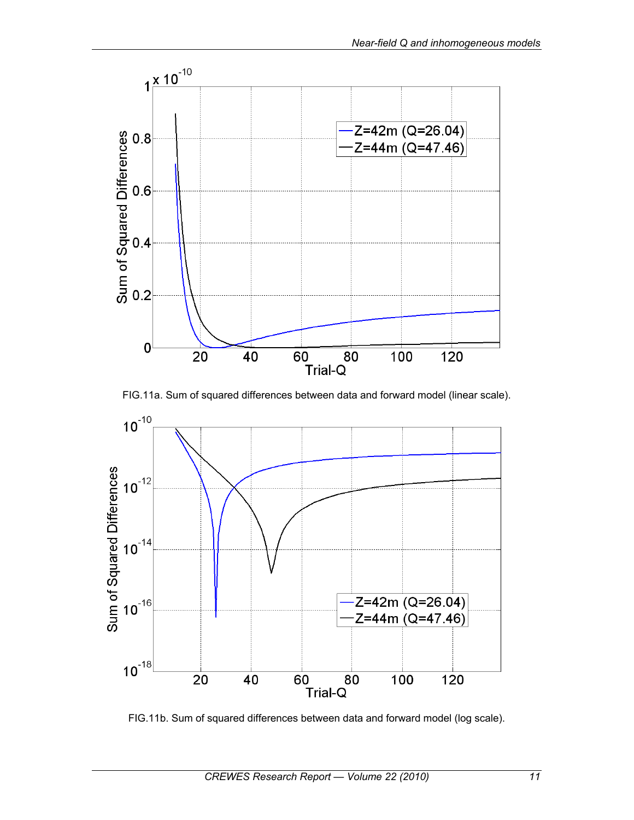





FIG.11b. Sum of squared differences between data and forward model (log scale).